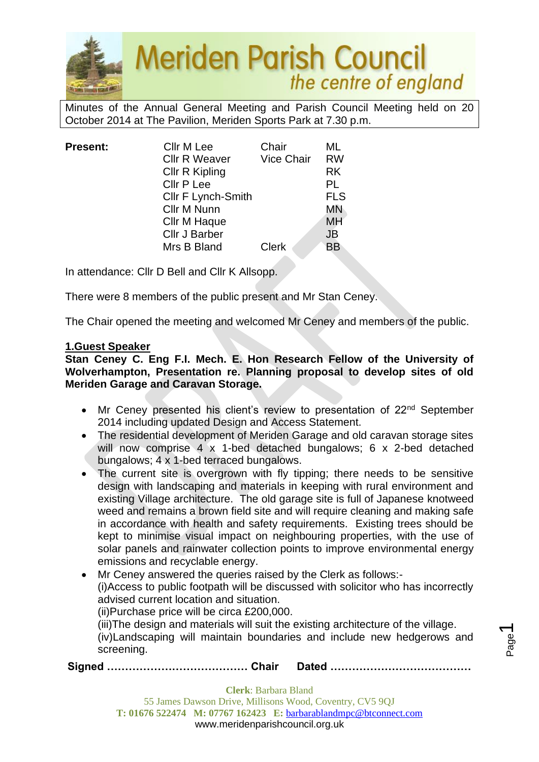

Minutes of the Annual General Meeting and Parish Council Meeting held on 20 October 2014 at The Pavilion, Meriden Sports Park at 7.30 p.m.

| <b>Present:</b> | Cllr M Lee                | Chair             | ML<br><b>RW</b> |
|-----------------|---------------------------|-------------------|-----------------|
|                 | <b>Cllr R Weaver</b>      | <b>Vice Chair</b> |                 |
|                 | <b>Cllr R Kipling</b>     |                   | <b>RK</b>       |
|                 | Cllr P Lee                |                   | PL              |
|                 | <b>CIIr F Lynch-Smith</b> |                   | <b>FLS</b>      |
|                 | Cllr M Nunn               |                   | <b>MN</b>       |
|                 | Cllr M Haque              |                   | <b>MH</b>       |
|                 | <b>Cllr J Barber</b>      |                   | <b>JB</b>       |
|                 | Mrs B Bland               | <b>Clerk</b>      | <b>BB</b>       |
|                 |                           |                   |                 |

In attendance: Cllr D Bell and Cllr K Allsopp.

There were 8 members of the public present and Mr Stan Ceney.

The Chair opened the meeting and welcomed Mr Ceney and members of the public.

#### **1.Guest Speaker**

**Stan Ceney C. Eng F.I. Mech. E. Hon Research Fellow of the University of Wolverhampton, Presentation re. Planning proposal to develop sites of old Meriden Garage and Caravan Storage.**

- Mr Ceney presented his client's review to presentation of 22<sup>nd</sup> September 2014 including updated Design and Access Statement.
- The residential development of Meriden Garage and old caravan storage sites will now comprise 4 x 1-bed detached bungalows; 6 x 2-bed detached bungalows; 4 x 1-bed terraced bungalows.
- The current site is overgrown with fly tipping; there needs to be sensitive design with landscaping and materials in keeping with rural environment and existing Village architecture. The old garage site is full of Japanese knotweed weed and remains a brown field site and will require cleaning and making safe in accordance with health and safety requirements. Existing trees should be kept to minimise visual impact on neighbouring properties, with the use of solar panels and rainwater collection points to improve environmental energy emissions and recyclable energy.
- Mr Ceney answered the queries raised by the Clerk as follows:- (i)Access to public footpath will be discussed with solicitor who has incorrectly advised current location and situation. (ii)Purchase price will be circa £200,000.

(iii)The design and materials will suit the existing architecture of the village. (iv)Landscaping will maintain boundaries and include new hedgerows and screening.

Page  $\overline{\phantom{0}}$ 

**Signed ………………………………… Chair Dated …………………………………**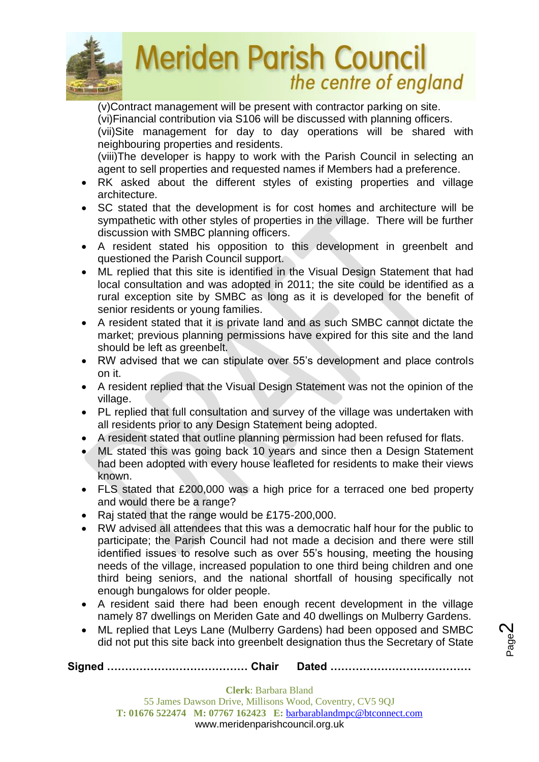

(v)Contract management will be present with contractor parking on site. (vi)Financial contribution via S106 will be discussed with planning officers. (vii)Site management for day to day operations will be shared with neighbouring properties and residents.

(viii)The developer is happy to work with the Parish Council in selecting an agent to sell properties and requested names if Members had a preference.

- RK asked about the different styles of existing properties and village architecture.
- SC stated that the development is for cost homes and architecture will be sympathetic with other styles of properties in the village. There will be further discussion with SMBC planning officers.
- A resident stated his opposition to this development in greenbelt and questioned the Parish Council support.
- ML replied that this site is identified in the Visual Design Statement that had local consultation and was adopted in 2011; the site could be identified as a rural exception site by SMBC as long as it is developed for the benefit of senior residents or young families.
- A resident stated that it is private land and as such SMBC cannot dictate the market; previous planning permissions have expired for this site and the land should be left as greenbelt.
- RW advised that we can stipulate over 55's development and place controls on it.
- A resident replied that the Visual Design Statement was not the opinion of the village.
- PL replied that full consultation and survey of the village was undertaken with all residents prior to any Design Statement being adopted.
- A resident stated that outline planning permission had been refused for flats.
- ML stated this was going back 10 years and since then a Design Statement had been adopted with every house leafleted for residents to make their views known.
- FLS stated that £200,000 was a high price for a terraced one bed property and would there be a range?
- Raj stated that the range would be £175-200,000.
- RW advised all attendees that this was a democratic half hour for the public to participate; the Parish Council had not made a decision and there were still identified issues to resolve such as over 55's housing, meeting the housing needs of the village, increased population to one third being children and one third being seniors, and the national shortfall of housing specifically not enough bungalows for older people.
- A resident said there had been enough recent development in the village namely 87 dwellings on Meriden Gate and 40 dwellings on Mulberry Gardens.
- ML replied that Leys Lane (Mulberry Gardens) had been opposed and SMBC did not put this site back into greenbelt designation thus the Secretary of State

**Signed ………………………………… Chair Dated …………………………………**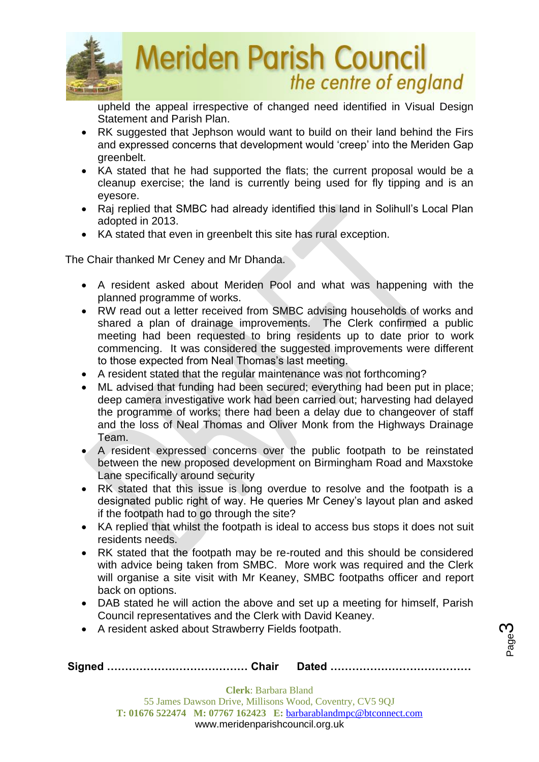

upheld the appeal irrespective of changed need identified in Visual Design Statement and Parish Plan.

- RK suggested that Jephson would want to build on their land behind the Firs and expressed concerns that development would 'creep' into the Meriden Gap greenbelt.
- KA stated that he had supported the flats; the current proposal would be a cleanup exercise; the land is currently being used for fly tipping and is an eyesore.
- Raj replied that SMBC had already identified this land in Solihull's Local Plan adopted in 2013.
- KA stated that even in greenbelt this site has rural exception.

The Chair thanked Mr Ceney and Mr Dhanda.

- A resident asked about Meriden Pool and what was happening with the planned programme of works.
- RW read out a letter received from SMBC advising households of works and shared a plan of drainage improvements. The Clerk confirmed a public meeting had been requested to bring residents up to date prior to work commencing. It was considered the suggested improvements were different to those expected from Neal Thomas's last meeting.
- A resident stated that the regular maintenance was not forthcoming?
- ML advised that funding had been secured; everything had been put in place; deep camera investigative work had been carried out; harvesting had delayed the programme of works; there had been a delay due to changeover of staff and the loss of Neal Thomas and Oliver Monk from the Highways Drainage Team.
- A resident expressed concerns over the public footpath to be reinstated between the new proposed development on Birmingham Road and Maxstoke Lane specifically around security
- RK stated that this issue is long overdue to resolve and the footpath is a designated public right of way. He queries Mr Ceney's layout plan and asked if the footpath had to go through the site?
- KA replied that whilst the footpath is ideal to access bus stops it does not suit residents needs.
- RK stated that the footpath may be re-routed and this should be considered with advice being taken from SMBC. More work was required and the Clerk will organise a site visit with Mr Keaney, SMBC footpaths officer and report back on options.
- DAB stated he will action the above and set up a meeting for himself, Parish Council representatives and the Clerk with David Keaney.
- A resident asked about Strawberry Fields footpath.

|--|--|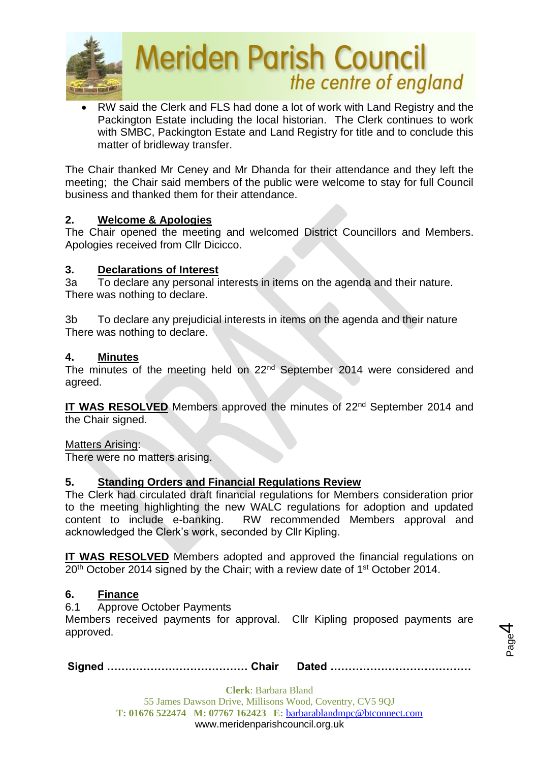

• RW said the Clerk and FLS had done a lot of work with Land Registry and the Packington Estate including the local historian. The Clerk continues to work with SMBC, Packington Estate and Land Registry for title and to conclude this matter of bridleway transfer.

The Chair thanked Mr Ceney and Mr Dhanda for their attendance and they left the meeting; the Chair said members of the public were welcome to stay for full Council business and thanked them for their attendance.

## **2. Welcome & Apologies**

The Chair opened the meeting and welcomed District Councillors and Members. Apologies received from Cllr Dicicco.

## **3. Declarations of Interest**

3a To declare any personal interests in items on the agenda and their nature. There was nothing to declare.

3b To declare any prejudicial interests in items on the agenda and their nature There was nothing to declare.

## **4. Minutes**

The minutes of the meeting held on 22<sup>nd</sup> September 2014 were considered and agreed.

**IT WAS RESOLVED** Members approved the minutes of 22<sup>nd</sup> September 2014 and the Chair signed.

Matters Arising:

There were no matters arising.

## **5. Standing Orders and Financial Regulations Review**

The Clerk had circulated draft financial regulations for Members consideration prior to the meeting highlighting the new WALC regulations for adoption and updated content to include e-banking. RW recommended Members approval and acknowledged the Clerk's work, seconded by Cllr Kipling.

**IT WAS RESOLVED** Members adopted and approved the financial regulations on 20<sup>th</sup> October 2014 signed by the Chair; with a review date of 1<sup>st</sup> October 2014.

## **6. Finance**

6.1 Approve October Payments

Members received payments for approval. Cllr Kipling proposed payments are approved.

**Signed ………………………………… Chair Dated …………………………………**

Page 4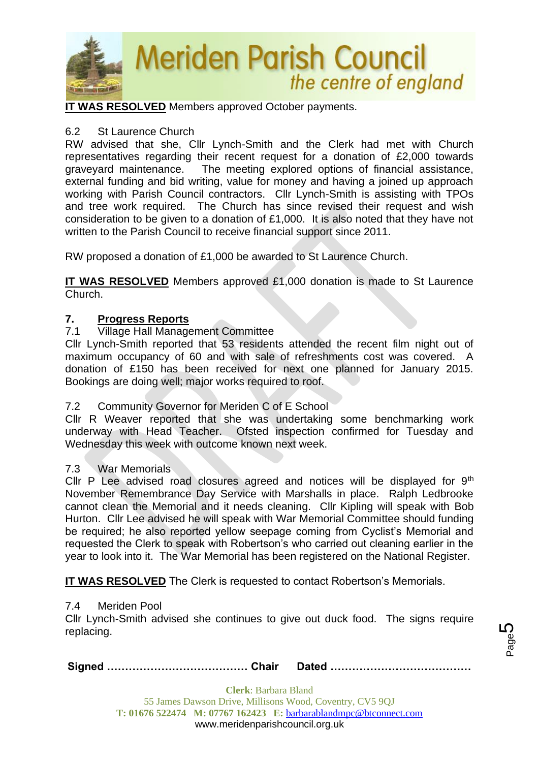

**IT WAS RESOLVED** Members approved October payments.

#### 6.2 St Laurence Church

RW advised that she, Cllr Lynch-Smith and the Clerk had met with Church representatives regarding their recent request for a donation of £2,000 towards graveyard maintenance. The meeting explored options of financial assistance, external funding and bid writing, value for money and having a joined up approach working with Parish Council contractors. Cllr Lynch-Smith is assisting with TPOs and tree work required. The Church has since revised their request and wish consideration to be given to a donation of £1,000. It is also noted that they have not written to the Parish Council to receive financial support since 2011.

RW proposed a donation of £1,000 be awarded to St Laurence Church.

**IT WAS RESOLVED** Members approved £1,000 donation is made to St Laurence Church.

#### **7. Progress Reports**

## 7.1 Village Hall Management Committee

Cllr Lynch-Smith reported that 53 residents attended the recent film night out of maximum occupancy of 60 and with sale of refreshments cost was covered. A donation of £150 has been received for next one planned for January 2015. Bookings are doing well; major works required to roof.

#### 7.2 Community Governor for Meriden C of E School

Cllr R Weaver reported that she was undertaking some benchmarking work underway with Head Teacher. Ofsted inspection confirmed for Tuesday and Wednesday this week with outcome known next week.

#### 7.3 War Memorials

Cllr P Lee advised road closures agreed and notices will be displayed for 9<sup>th</sup> November Remembrance Day Service with Marshalls in place. Ralph Ledbrooke cannot clean the Memorial and it needs cleaning. Cllr Kipling will speak with Bob Hurton. Cllr Lee advised he will speak with War Memorial Committee should funding be required; he also reported yellow seepage coming from Cyclist's Memorial and requested the Clerk to speak with Robertson's who carried out cleaning earlier in the year to look into it. The War Memorial has been registered on the National Register.

**IT WAS RESOLVED** The Clerk is requested to contact Robertson's Memorials.

#### 7.4 Meriden Pool

Cllr Lynch-Smith advised she continues to give out duck food. The signs require replacing.

Page 5

|--|--|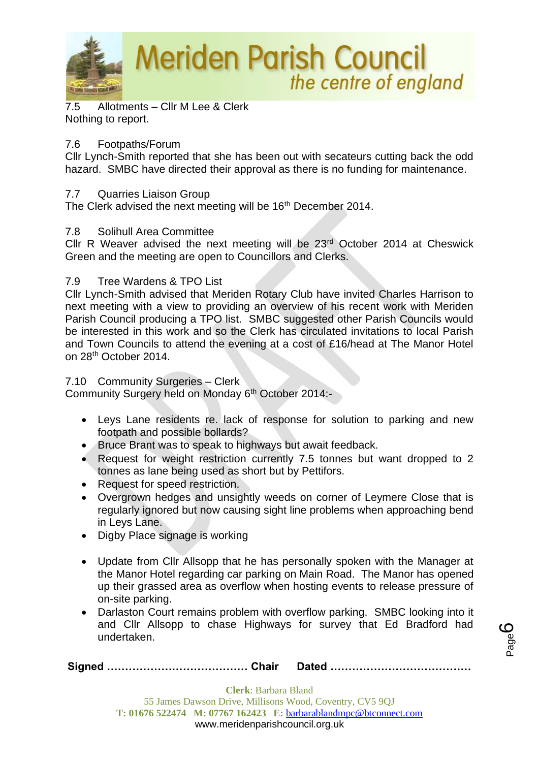

7.5 Allotments – Cllr M Lee & Clerk Nothing to report.

## 7.6 Footpaths/Forum

Cllr Lynch-Smith reported that she has been out with secateurs cutting back the odd hazard. SMBC have directed their approval as there is no funding for maintenance.

## 7.7 Quarries Liaison Group

The Clerk advised the next meeting will be 16<sup>th</sup> December 2014.

## 7.8 Solihull Area Committee

Cllr R Weaver advised the next meeting will be 23rd October 2014 at Cheswick Green and the meeting are open to Councillors and Clerks.

## 7.9 Tree Wardens & TPO List

Cllr Lynch-Smith advised that Meriden Rotary Club have invited Charles Harrison to next meeting with a view to providing an overview of his recent work with Meriden Parish Council producing a TPO list. SMBC suggested other Parish Councils would be interested in this work and so the Clerk has circulated invitations to local Parish and Town Councils to attend the evening at a cost of £16/head at The Manor Hotel on 28th October 2014.

## 7.10 Community Surgeries – Clerk

Community Surgery held on Monday 6th October 2014:-

- Leys Lane residents re. lack of response for solution to parking and new footpath and possible bollards?
- Bruce Brant was to speak to highways but await feedback.
- Request for weight restriction currently 7.5 tonnes but want dropped to 2 tonnes as lane being used as short but by Pettifors.
- Request for speed restriction.
- Overgrown hedges and unsightly weeds on corner of Leymere Close that is regularly ignored but now causing sight line problems when approaching bend in Leys Lane.
- Digby Place signage is working
- Update from Cllr Allsopp that he has personally spoken with the Manager at the Manor Hotel regarding car parking on Main Road. The Manor has opened up their grassed area as overflow when hosting events to release pressure of on-site parking.
- Darlaston Court remains problem with overflow parking. SMBC looking into it and Cllr Allsopp to chase Highways for survey that Ed Bradford had undertaken.

|--|--|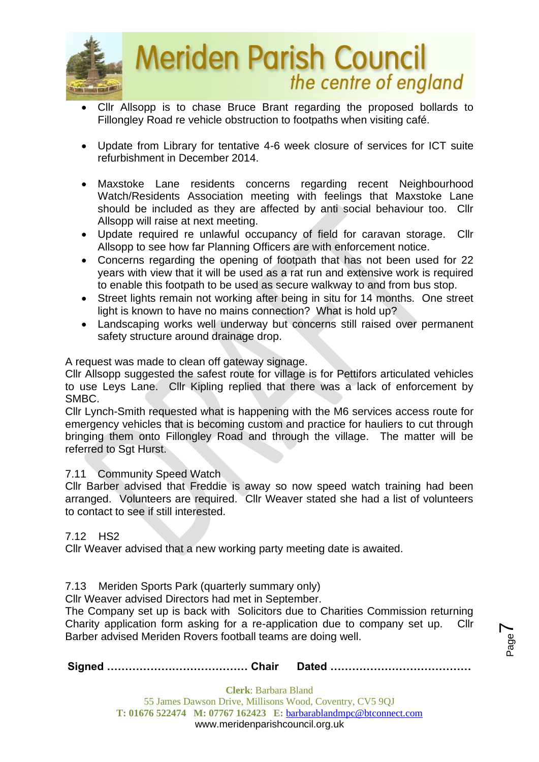

- Cllr Allsopp is to chase Bruce Brant regarding the proposed bollards to Fillongley Road re vehicle obstruction to footpaths when visiting café.
- Update from Library for tentative 4-6 week closure of services for ICT suite refurbishment in December 2014.
- Maxstoke Lane residents concerns regarding recent Neighbourhood Watch/Residents Association meeting with feelings that Maxstoke Lane should be included as they are affected by anti social behaviour too. Cllr Allsopp will raise at next meeting.
- Update required re unlawful occupancy of field for caravan storage. Cllr Allsopp to see how far Planning Officers are with enforcement notice.
- Concerns regarding the opening of footpath that has not been used for 22 years with view that it will be used as a rat run and extensive work is required to enable this footpath to be used as secure walkway to and from bus stop.
- Street lights remain not working after being in situ for 14 months. One street light is known to have no mains connection? What is hold up?
- Landscaping works well underway but concerns still raised over permanent safety structure around drainage drop.

A request was made to clean off gateway signage.

Cllr Allsopp suggested the safest route for village is for Pettifors articulated vehicles to use Leys Lane. Cllr Kipling replied that there was a lack of enforcement by SMBC.

Cllr Lynch-Smith requested what is happening with the M6 services access route for emergency vehicles that is becoming custom and practice for hauliers to cut through bringing them onto Fillongley Road and through the village. The matter will be referred to Sgt Hurst.

## 7.11 Community Speed Watch

Cllr Barber advised that Freddie is away so now speed watch training had been arranged. Volunteers are required. Cllr Weaver stated she had a list of volunteers to contact to see if still interested.

## 7.12 HS2

Cllr Weaver advised that a new working party meeting date is awaited.

## 7.13Meriden Sports Park (quarterly summary only)

Cllr Weaver advised Directors had met in September.

The Company set up is back with Solicitors due to Charities Commission returning Charity application form asking for a re-application due to company set up. Cllr Barber advised Meriden Rovers football teams are doing well.

**Signed ………………………………… Chair Dated …………………………………**

Page  $\blacktriangleright$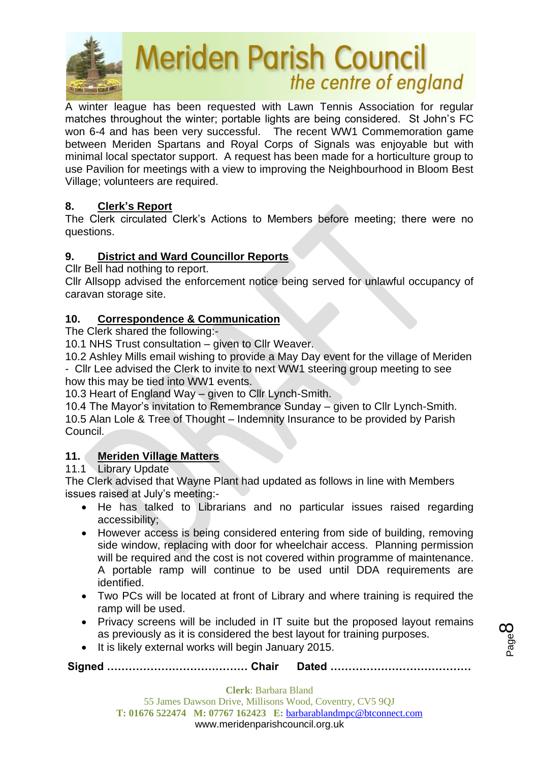

A winter league has been requested with Lawn Tennis Association for regular matches throughout the winter; portable lights are being considered. St John's FC won 6-4 and has been very successful. The recent WW1 Commemoration game between Meriden Spartans and Royal Corps of Signals was enjoyable but with minimal local spectator support. A request has been made for a horticulture group to use Pavilion for meetings with a view to improving the Neighbourhood in Bloom Best Village; volunteers are required.

## **8. Clerk's Report**

The Clerk circulated Clerk's Actions to Members before meeting; there were no questions.

## **9. District and Ward Councillor Reports**

Cllr Bell had nothing to report.

Cllr Allsopp advised the enforcement notice being served for unlawful occupancy of caravan storage site.

## **10. Correspondence & Communication**

The Clerk shared the following:-

10.1 NHS Trust consultation – given to Cllr Weaver.

10.2 Ashley Mills email wishing to provide a May Day event for the village of Meriden - Cllr Lee advised the Clerk to invite to next WW1 steering group meeting to see

how this may be tied into WW1 events.

10.3 Heart of England Way – given to Cllr Lynch-Smith.

10.4 The Mayor's invitation to Remembrance Sunday – given to Cllr Lynch-Smith. 10.5 Alan Lole & Tree of Thought – Indemnity Insurance to be provided by Parish Council.

## **11. Meriden Village Matters**

## 11.1 Library Update

The Clerk advised that Wayne Plant had updated as follows in line with Members issues raised at July's meeting:-

- He has talked to Librarians and no particular issues raised regarding accessibility;
- However access is being considered entering from side of building, removing side window, replacing with door for wheelchair access. Planning permission will be required and the cost is not covered within programme of maintenance. A portable ramp will continue to be used until DDA requirements are identified.
- Two PCs will be located at front of Library and where training is required the ramp will be used.
- Privacy screens will be included in IT suite but the proposed layout remains as previously as it is considered the best layout for training purposes.
- It is likely external works will begin January 2015.

**Signed ………………………………… Chair Dated …………………………………**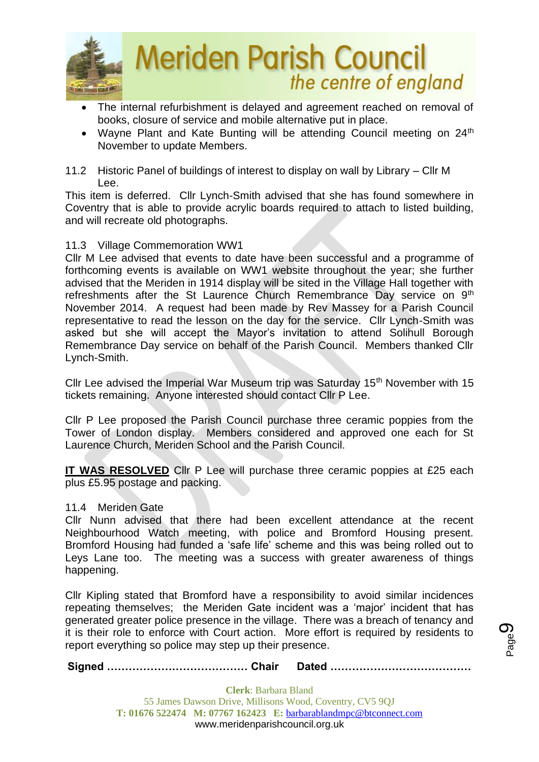

- The internal refurbishment is delayed and agreement reached on removal of books, closure of service and mobile alternative put in place.
- Wayne Plant and Kate Bunting will be attending Council meeting on 24<sup>th</sup> November to update Members.
- 11.2 Historic Panel of buildings of interest to display on wall by Library Cllr M Lee.

This item is deferred. Cllr Lynch-Smith advised that she has found somewhere in Coventry that is able to provide acrylic boards required to attach to listed building, and will recreate old photographs.

## 11.3 Village Commemoration WW1

Cllr M Lee advised that events to date have been successful and a programme of forthcoming events is available on WW1 website throughout the year; she further advised that the Meriden in 1914 display will be sited in the Village Hall together with refreshments after the St Laurence Church Remembrance Day service on 9<sup>th</sup> November 2014. A request had been made by Rev Massey for a Parish Council representative to read the lesson on the day for the service. Cllr Lynch-Smith was asked but she will accept the Mayor's invitation to attend Solihull Borough Remembrance Day service on behalf of the Parish Council. Members thanked Cllr Lynch-Smith.

Cllr Lee advised the Imperial War Museum trip was Saturday 15<sup>th</sup> November with 15 tickets remaining. Anyone interested should contact Cllr P Lee.

Cllr P Lee proposed the Parish Council purchase three ceramic poppies from the Tower of London display. Members considered and approved one each for St Laurence Church, Meriden School and the Parish Council.

**IT WAS RESOLVED** Cllr P Lee will purchase three ceramic poppies at £25 each plus £5.95 postage and packing.

11.4 Meriden Gate

Cllr Nunn advised that there had been excellent attendance at the recent Neighbourhood Watch meeting, with police and Bromford Housing present. Bromford Housing had funded a 'safe life' scheme and this was being rolled out to Leys Lane too. The meeting was a success with greater awareness of things happening.

Cllr Kipling stated that Bromford have a responsibility to avoid similar incidences repeating themselves; the Meriden Gate incident was a 'major' incident that has generated greater police presence in the village. There was a breach of tenancy and it is their role to enforce with Court action. More effort is required by residents to report everything so police may step up their presence.

**Signed ………………………………… Chair Dated …………………………………**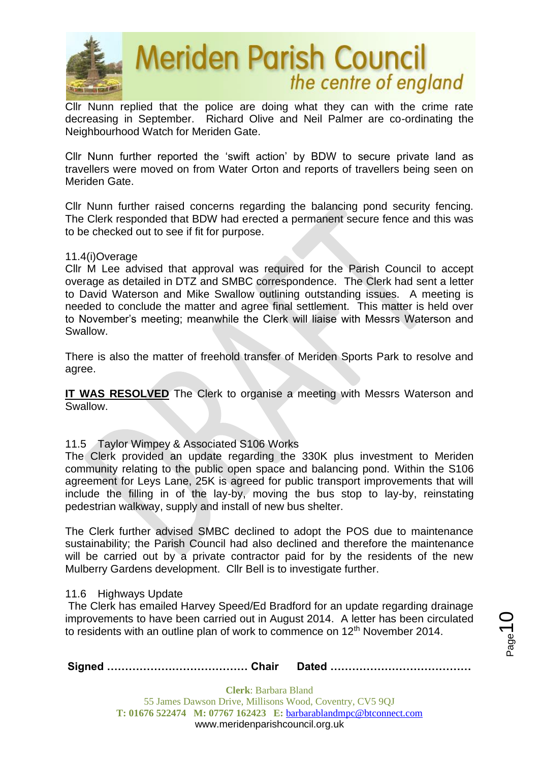

Cllr Nunn replied that the police are doing what they can with the crime rate decreasing in September. Richard Olive and Neil Palmer are co-ordinating the Neighbourhood Watch for Meriden Gate.

Cllr Nunn further reported the 'swift action' by BDW to secure private land as travellers were moved on from Water Orton and reports of travellers being seen on Meriden Gate.

Cllr Nunn further raised concerns regarding the balancing pond security fencing. The Clerk responded that BDW had erected a permanent secure fence and this was to be checked out to see if fit for purpose.

#### 11.4(i)Overage

Cllr M Lee advised that approval was required for the Parish Council to accept overage as detailed in DTZ and SMBC correspondence. The Clerk had sent a letter to David Waterson and Mike Swallow outlining outstanding issues. A meeting is needed to conclude the matter and agree final settlement. This matter is held over to November's meeting; meanwhile the Clerk will liaise with Messrs Waterson and Swallow.

There is also the matter of freehold transfer of Meriden Sports Park to resolve and agree.

**IT WAS RESOLVED** The Clerk to organise a meeting with Messrs Waterson and Swallow.

## 11.5 Taylor Wimpey & Associated S106 Works

The Clerk provided an update regarding the 330K plus investment to Meriden community relating to the public open space and balancing pond. Within the S106 agreement for Leys Lane, 25K is agreed for public transport improvements that will include the filling in of the lay-by, moving the bus stop to lay-by, reinstating pedestrian walkway, supply and install of new bus shelter.

The Clerk further advised SMBC declined to adopt the POS due to maintenance sustainability; the Parish Council had also declined and therefore the maintenance will be carried out by a private contractor paid for by the residents of the new Mulberry Gardens development. Cllr Bell is to investigate further.

#### 11.6 Highways Update

The Clerk has emailed Harvey Speed/Ed Bradford for an update regarding drainage improvements to have been carried out in August 2014. A letter has been circulated to residents with an outline plan of work to commence on 12<sup>th</sup> November 2014.

**Signed ………………………………… Chair Dated …………………………………**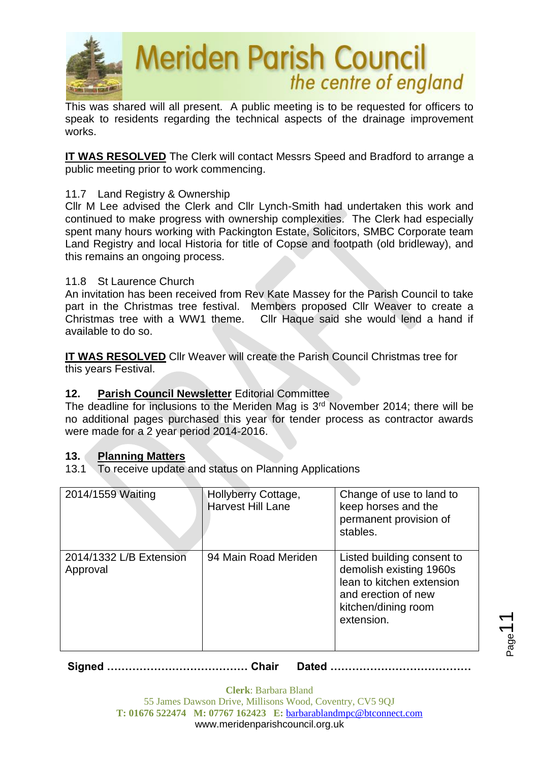

This was shared will all present. A public meeting is to be requested for officers to speak to residents regarding the technical aspects of the drainage improvement works.

**IT WAS RESOLVED** The Clerk will contact Messrs Speed and Bradford to arrange a public meeting prior to work commencing.

## 11.7 Land Registry & Ownership

Cllr M Lee advised the Clerk and Cllr Lynch-Smith had undertaken this work and continued to make progress with ownership complexities. The Clerk had especially spent many hours working with Packington Estate, Solicitors, SMBC Corporate team Land Registry and local Historia for title of Copse and footpath (old bridleway), and this remains an ongoing process.

## 11.8 St Laurence Church

An invitation has been received from Rev Kate Massey for the Parish Council to take part in the Christmas tree festival. Members proposed Cllr Weaver to create a Christmas tree with a WW1 theme. Cllr Haque said she would lend a hand if available to do so.

**IT WAS RESOLVED** Cllr Weaver will create the Parish Council Christmas tree for this years Festival.

## **12. Parish Council Newsletter** Editorial Committee

The deadline for inclusions to the Meriden Mag is 3<sup>rd</sup> November 2014; there will be no additional pages purchased this year for tender process as contractor awards were made for a 2 year period 2014-2016.

## **13. Planning Matters**

13.1 To receive update and status on Planning Applications

| 2014/1559 Waiting                   | <b>Hollyberry Cottage,</b><br><b>Harvest Hill Lane</b> | Change of use to land to<br>keep horses and the<br>permanent provision of<br>stables.                                                          |
|-------------------------------------|--------------------------------------------------------|------------------------------------------------------------------------------------------------------------------------------------------------|
| 2014/1332 L/B Extension<br>Approval | 94 Main Road Meriden                                   | Listed building consent to<br>demolish existing 1960s<br>lean to kitchen extension<br>and erection of new<br>kitchen/dining room<br>extension. |

 $_{\mathrm{Page}}$ 11

**Signed ………………………………… Chair Dated …………………………………**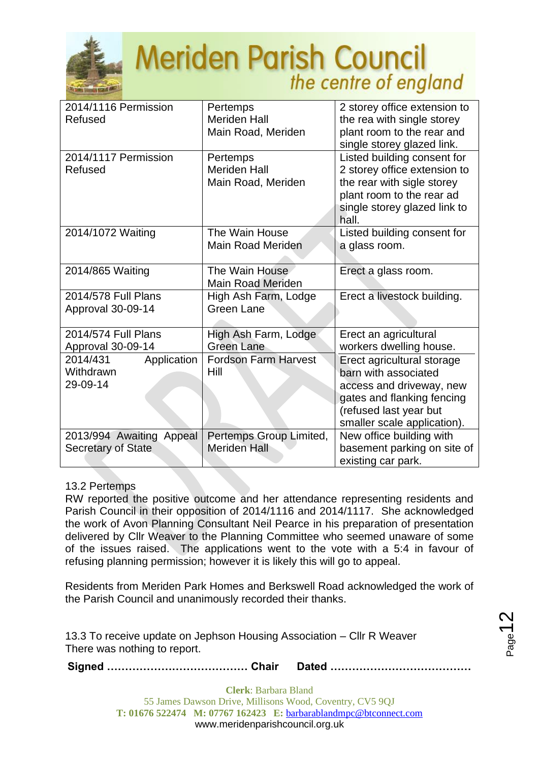

| 2014/1116 Permission<br>Refused                  | Pertemps<br><b>Meriden Hall</b><br>Main Road, Meriden | 2 storey office extension to<br>the rea with single storey<br>plant room to the rear and<br>single storey glazed link.                                                |
|--------------------------------------------------|-------------------------------------------------------|-----------------------------------------------------------------------------------------------------------------------------------------------------------------------|
| 2014/1117 Permission<br>Refused                  | Pertemps<br><b>Meriden Hall</b><br>Main Road, Meriden | Listed building consent for<br>2 storey office extension to<br>the rear with sigle storey<br>plant room to the rear ad<br>single storey glazed link to<br>hall.       |
| 2014/1072 Waiting                                | The Wain House<br>Main Road Meriden                   | Listed building consent for<br>a glass room.                                                                                                                          |
| 2014/865 Waiting                                 | The Wain House<br><b>Main Road Meriden</b>            | Erect a glass room.                                                                                                                                                   |
| 2014/578 Full Plans<br>Approval 30-09-14         | High Ash Farm, Lodge<br><b>Green Lane</b>             | Erect a livestock building.                                                                                                                                           |
| 2014/574 Full Plans<br>Approval 30-09-14         | High Ash Farm, Lodge<br><b>Green Lane</b>             | Erect an agricultural<br>workers dwelling house.                                                                                                                      |
| 2014/431<br>Application<br>Withdrawn<br>29-09-14 | <b>Fordson Farm Harvest</b><br>Hill                   | Erect agricultural storage<br>barn with associated<br>access and driveway, new<br>gates and flanking fencing<br>(refused last year but<br>smaller scale application). |
| 2013/994 Awaiting Appeal<br>Secretary of State   | Pertemps Group Limited,<br><b>Meriden Hall</b>        | New office building with<br>basement parking on site of<br>existing car park.                                                                                         |

## 13.2 Pertemps

RW reported the positive outcome and her attendance representing residents and Parish Council in their opposition of 2014/1116 and 2014/1117. She acknowledged the work of Avon Planning Consultant Neil Pearce in his preparation of presentation delivered by Cllr Weaver to the Planning Committee who seemed unaware of some of the issues raised. The applications went to the vote with a 5:4 in favour of refusing planning permission; however it is likely this will go to appeal.

Residents from Meriden Park Homes and Berkswell Road acknowledged the work of the Parish Council and unanimously recorded their thanks.

13.3 To receive update on Jephson Housing Association – Cllr R Weaver There was nothing to report.

**Signed ………………………………… Chair Dated …………………………………**